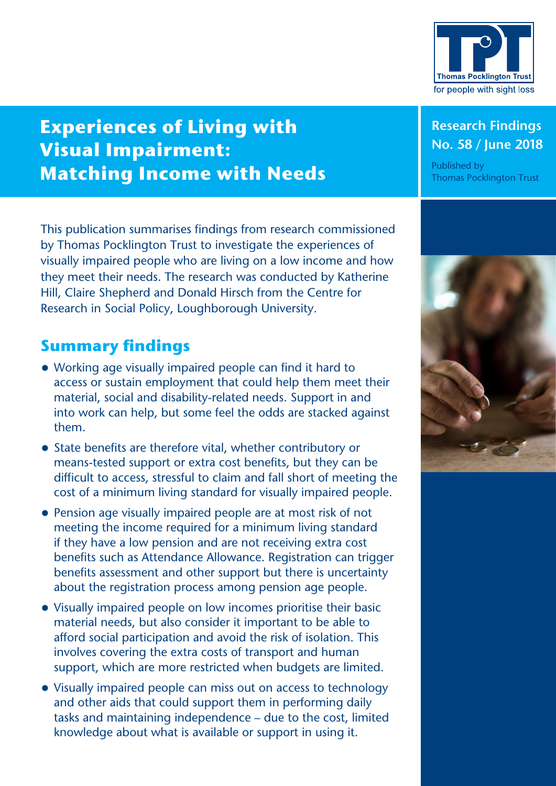

# **Experiences of Living with Visual Impairment: Matching Income with Needs**

This publication summarises findings from research commissioned by Thomas Pocklington Trust to investigate the experiences of visually impaired people who are living on a low income and how they meet their needs. The research was conducted by Katherine Hill, Claire Shepherd and Donald Hirsch from the Centre for Research in Social Policy, Loughborough University.

# **Summary findings**

- **•** Working age visually impaired people can find it hard to access or sustain employment that could help them meet their material, social and disability-related needs. Support in and into work can help, but some feel the odds are stacked against them.
- **•** State benefits are therefore vital, whether contributory or means‑tested support or extra cost benefits, but they can be difficult to access, stressful to claim and fall short of meeting the cost of a minimum living standard for visually impaired people.
- **•** Pension age visually impaired people are at most risk of not meeting the income required for a minimum living standard if they have a low pension and are not receiving extra cost benefits such as Attendance Allowance. Registration can trigger benefits assessment and other support but there is uncertainty about the registration process among pension age people.
- **•** Visually impaired people on low incomes prioritise their basic material needs, but also consider it important to be able to afford social participation and avoid the risk of isolation. This involves covering the extra costs of transport and human support, which are more restricted when budgets are limited.
- **•** Visually impaired people can miss out on access to technology and other aids that could support them in performing daily tasks and maintaining independence – due to the cost, limited knowledge about what is available or support in using it.

## **Research Findings No. 58 / June 2018**

Published by Thomas Pocklington Trust

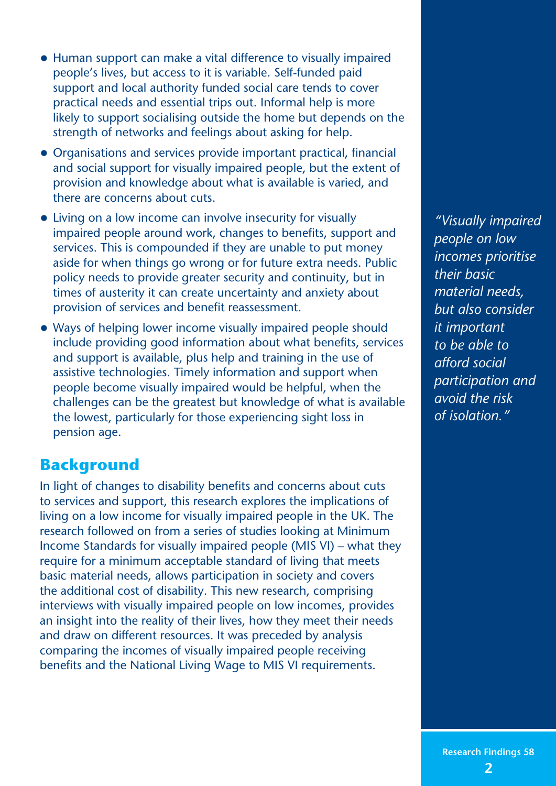- **•** Human support can make a vital difference to visually impaired people's lives, but access to it is variable. Self-funded paid support and local authority funded social care tends to cover practical needs and essential trips out. Informal help is more likely to support socialising outside the home but depends on the strength of networks and feelings about asking for help.
- **•** Organisations and services provide important practical, financial and social support for visually impaired people, but the extent of provision and knowledge about what is available is varied, and there are concerns about cuts.
- **•** Living on a low income can involve insecurity for visually impaired people around work, changes to benefits, support and services. This is compounded if they are unable to put money aside for when things go wrong or for future extra needs. Public policy needs to provide greater security and continuity, but in times of austerity it can create uncertainty and anxiety about provision of services and benefit reassessment.
- **•** Ways of helping lower income visually impaired people should include providing good information about what benefits, services and support is available, plus help and training in the use of assistive technologies. Timely information and support when people become visually impaired would be helpful, when the challenges can be the greatest but knowledge of what is available the lowest, particularly for those experiencing sight loss in pension age.

# **Background**

In light of changes to disability benefits and concerns about cuts to services and support, this research explores the implications of living on a low income for visually impaired people in the UK. The research followed on from a series of studies looking at Minimum Income Standards for visually impaired people (MIS VI) – what they require for a minimum acceptable standard of living that meets basic material needs, allows participation in society and covers the additional cost of disability. This new research, comprising interviews with visually impaired people on low incomes, provides an insight into the reality of their lives, how they meet their needs and draw on different resources. It was preceded by analysis comparing the incomes of visually impaired people receiving benefits and the National Living Wage to MIS VI requirements.

*"Visually impaired people on low incomes prioritise their basic material needs, but also consider it important to be able to afford social participation and avoid the risk of isolation."*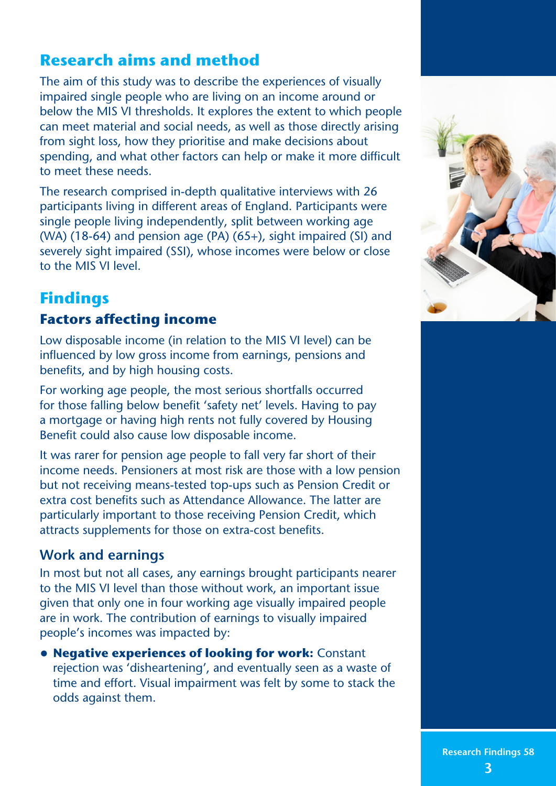# **Research aims and method**

The aim of this study was to describe the experiences of visually impaired single people who are living on an income around or below the MIS VI thresholds. It explores the extent to which people can meet material and social needs, as well as those directly arising from sight loss, how they prioritise and make decisions about spending, and what other factors can help or make it more difficult to meet these needs.

The research comprised in-depth qualitative interviews with 26 participants living in different areas of England. Participants were single people living independently, split between working age (WA) (18-64) and pension age (PA)  $(65+)$ , sight impaired (SI) and severely sight impaired (SSI), whose incomes were below or close to the MIS VI level.

# **Findings**

# **Factors affecting income**

Low disposable income (in relation to the MIS VI level) can be influenced by low gross income from earnings, pensions and benefits, and by high housing costs.

For working age people, the most serious shortfalls occurred for those falling below benefit 'safety net' levels. Having to pay a mortgage or having high rents not fully covered by Housing Benefit could also cause low disposable income.

It was rarer for pension age people to fall very far short of their income needs. Pensioners at most risk are those with a low pension but not receiving means‑tested top‑ups such as Pension Credit or extra cost benefits such as Attendance Allowance. The latter are particularly important to those receiving Pension Credit, which attracts supplements for those on extra-cost benefits.

# **Work and earnings**

In most but not all cases, any earnings brought participants nearer to the MIS VI level than those without work, an important issue given that only one in four working age visually impaired people are in work. The contribution of earnings to visually impaired people's incomes was impacted by:

**• Negative experiences of looking for work:** Constant rejection was 'disheartening', and eventually seen as a waste of time and effort. Visual impairment was felt by some to stack the odds against them.

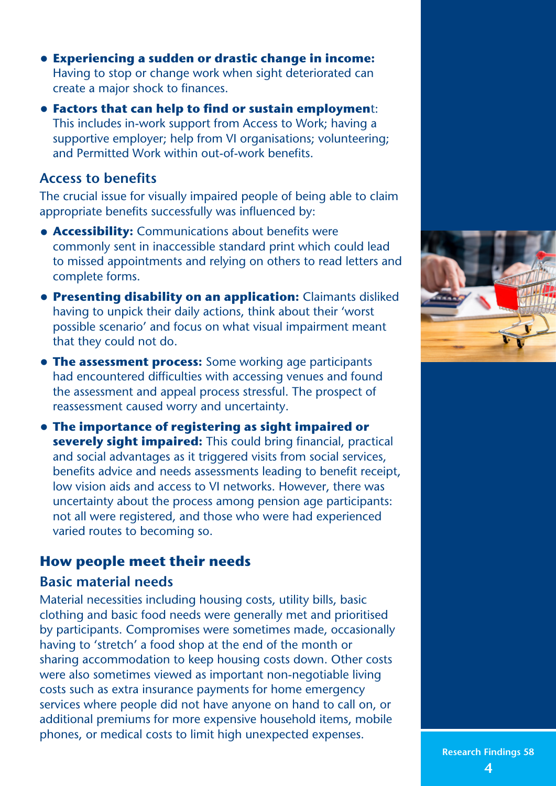- **• Experiencing a sudden or drastic change in income:** Having to stop or change work when sight deteriorated can create a major shock to finances.
- **• Factors that can help to find or sustain employmen**t: This includes in‑work support from Access to Work; having a supportive employer; help from VI organisations; volunteering; and Permitted Work within out‑of‑work benefits.

#### **Access to benefits**

The crucial issue for visually impaired people of being able to claim appropriate benefits successfully was influenced by:

- **• Accessibility:** Communications about benefits were commonly sent in inaccessible standard print which could lead to missed appointments and relying on others to read letters and complete forms.
- **• Presenting disability on an application:** Claimants disliked having to unpick their daily actions, think about their 'worst possible scenario' and focus on what visual impairment meant that they could not do.
- **• The assessment process:** Some working age participants had encountered difficulties with accessing venues and found the assessment and appeal process stressful. The prospect of reassessment caused worry and uncertainty.
- **• The importance of registering as sight impaired or severely sight impaired:** This could bring financial, practical and social advantages as it triggered visits from social services, benefits advice and needs assessments leading to benefit receipt, low vision aids and access to VI networks. However, there was uncertainty about the process among pension age participants: not all were registered, and those who were had experienced varied routes to becoming so.

## **How people meet their needs**

#### **Basic material needs**

Material necessities including housing costs, utility bills, basic clothing and basic food needs were generally met and prioritised by participants. Compromises were sometimes made, occasionally having to 'stretch' a food shop at the end of the month or sharing accommodation to keep housing costs down. Other costs were also sometimes viewed as important non-negotiable living costs such as extra insurance payments for home emergency services where people did not have anyone on hand to call on, or additional premiums for more expensive household items, mobile phones, or medical costs to limit high unexpected expenses.

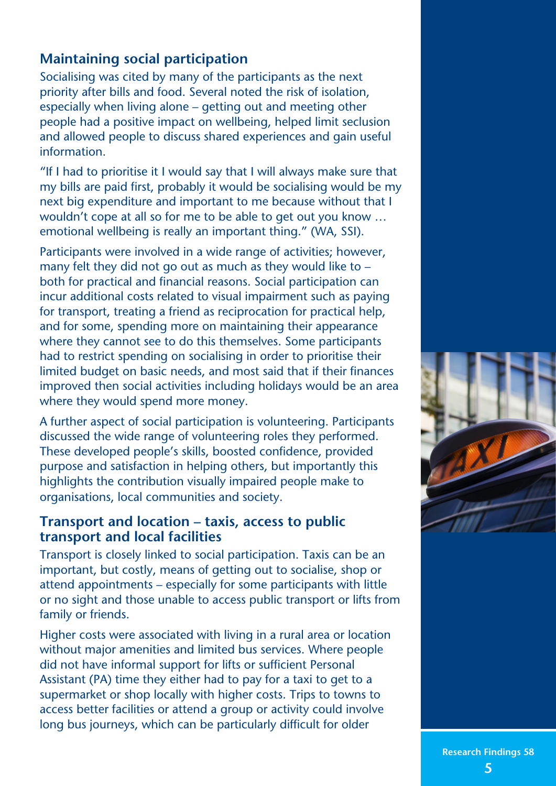# **Maintaining social participation**

Socialising was cited by many of the participants as the next priority after bills and food. Several noted the risk of isolation, especially when living alone – getting out and meeting other people had a positive impact on wellbeing, helped limit seclusion and allowed people to discuss shared experiences and gain useful information.

"If I had to prioritise it I would say that I will always make sure that my bills are paid first, probably it would be socialising would be my next big expenditure and important to me because without that I wouldn't cope at all so for me to be able to get out you know … emotional wellbeing is really an important thing." (WA, SSI).

Participants were involved in a wide range of activities; however, many felt they did not go out as much as they would like to – both for practical and financial reasons. Social participation can incur additional costs related to visual impairment such as paying for transport, treating a friend as reciprocation for practical help, and for some, spending more on maintaining their appearance where they cannot see to do this themselves. Some participants had to restrict spending on socialising in order to prioritise their limited budget on basic needs, and most said that if their finances improved then social activities including holidays would be an area where they would spend more money.

A further aspect of social participation is volunteering. Participants discussed the wide range of volunteering roles they performed. These developed people's skills, boosted confidence, provided purpose and satisfaction in helping others, but importantly this highlights the contribution visually impaired people make to organisations, local communities and society.

#### **Transport and location – taxis, access to public transport and local facilities**

Transport is closely linked to social participation. Taxis can be an important, but costly, means of getting out to socialise, shop or attend appointments – especially for some participants with little or no sight and those unable to access public transport or lifts from family or friends.

Higher costs were associated with living in a rural area or location without major amenities and limited bus services. Where people did not have informal support for lifts or sufficient Personal Assistant (PA) time they either had to pay for a taxi to get to a supermarket or shop locally with higher costs. Trips to towns to access better facilities or attend a group or activity could involve long bus journeys, which can be particularly difficult for older



**Research Findings 58 5**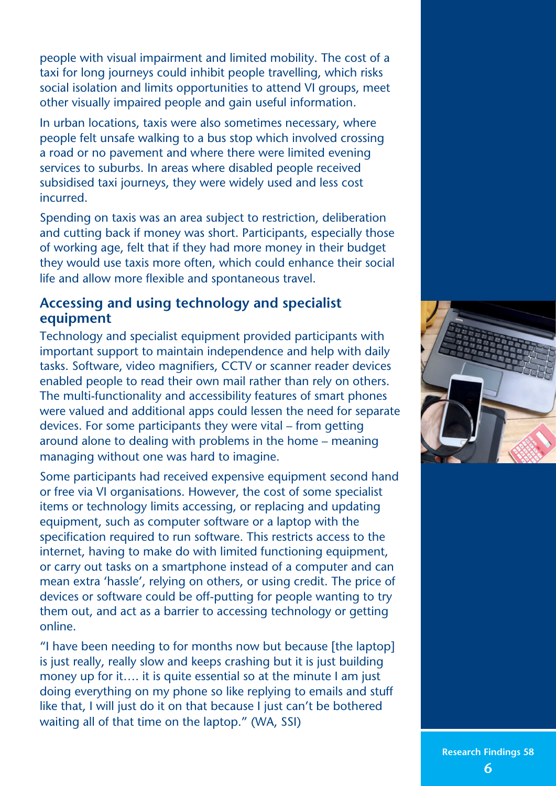people with visual impairment and limited mobility. The cost of a taxi for long journeys could inhibit people travelling, which risks social isolation and limits opportunities to attend VI groups, meet other visually impaired people and gain useful information.

In urban locations, taxis were also sometimes necessary, where people felt unsafe walking to a bus stop which involved crossing a road or no pavement and where there were limited evening services to suburbs. In areas where disabled people received subsidised taxi journeys, they were widely used and less cost incurred.

Spending on taxis was an area subject to restriction, deliberation and cutting back if money was short. Participants, especially those of working age, felt that if they had more money in their budget they would use taxis more often, which could enhance their social life and allow more flexible and spontaneous travel.

#### **Accessing and using technology and specialist equipment**

Technology and specialist equipment provided participants with important support to maintain independence and help with daily tasks. Software, video magnifiers, CCTV or scanner reader devices enabled people to read their own mail rather than rely on others. The multi-functionality and accessibility features of smart phones were valued and additional apps could lessen the need for separate devices. For some participants they were vital – from getting around alone to dealing with problems in the home – meaning managing without one was hard to imagine.

Some participants had received expensive equipment second hand or free via VI organisations. However, the cost of some specialist items or technology limits accessing, or replacing and updating equipment, such as computer software or a laptop with the specification required to run software. This restricts access to the internet, having to make do with limited functioning equipment, or carry out tasks on a smartphone instead of a computer and can mean extra 'hassle', relying on others, or using credit. The price of devices or software could be off‑putting for people wanting to try them out, and act as a barrier to accessing technology or getting online.

"I have been needing to for months now but because [the laptop] is just really, really slow and keeps crashing but it is just building money up for it.... it is quite essential so at the minute I am just doing everything on my phone so like replying to emails and stuff like that, I will just do it on that because I just can't be bothered waiting all of that time on the laptop." (WA, SSI)

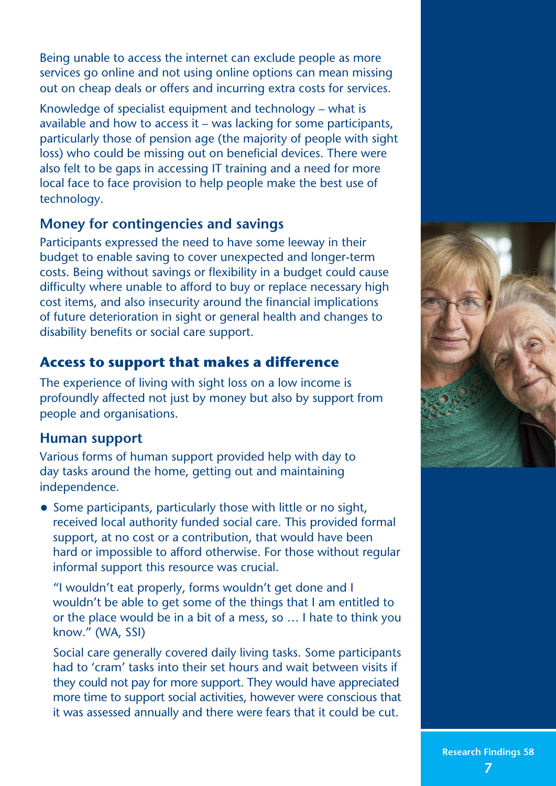Being unable to access the internet can exclude people as more services go online and not using online options can mean missing out on cheap deals or offers and incurring extra costs for services.

Knowledge of specialist equipment and technology – what is available and how to access it – was lacking for some participants, particularly those of pension age (the majority of people with sight loss) who could be missing out on beneficial devices. There were also felt to be gaps in accessing IT training and a need for more local face to face provision to help people make the best use of technology.

## **Money for contingencies and savings**

Participants expressed the need to have some leeway in their budget to enable saving to cover unexpected and longer-term costs. Being without savings or flexibility in a budget could cause difficulty where unable to afford to buy or replace necessary high cost items, and also insecurity around the financial implications of future deterioration in sight or general health and changes to disability benefits or social care support.

# **Access to support that makes a difference**

The experience of living with sight loss on a low income is profoundly affected not just by money but also by support from people and organisations.

## **Human support**

Various forms of human support provided help with day to day tasks around the home, getting out and maintaining independence.

**•** Some participants, particularly those with little or no sight, received local authority funded social care. This provided formal support, at no cost or a contribution, that would have been hard or impossible to afford otherwise. For those without regular informal support this resource was crucial.

"I wouldn't eat properly, forms wouldn't get done and I wouldn't be able to get some of the things that I am entitled to or the place would be in a bit of a mess, so … I hate to think you know." (WA, SSI)

Social care generally covered daily living tasks. Some participants had to 'cram' tasks into their set hours and wait between visits if they could not pay for more support. They would have appreciated more time to support social activities, however were conscious that it was assessed annually and there were fears that it could be cut.

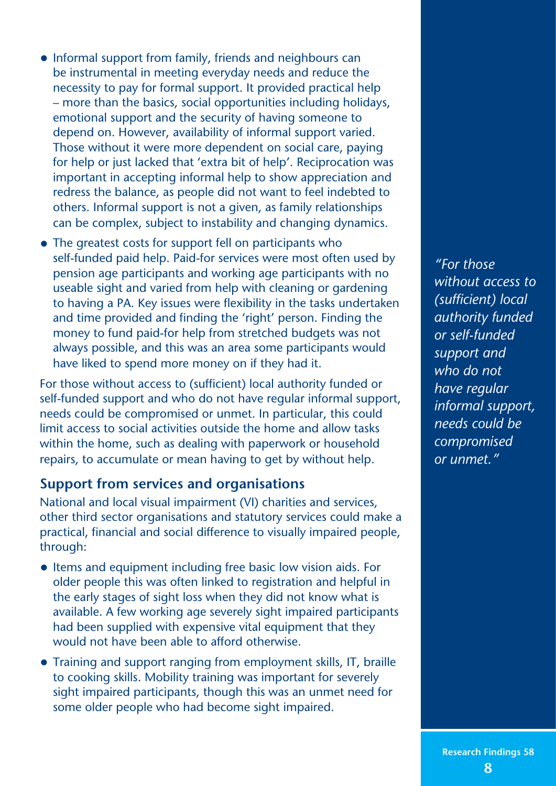- **•** Informal support from family, friends and neighbours can be instrumental in meeting everyday needs and reduce the necessity to pay for formal support. It provided practical help – more than the basics, social opportunities including holidays, emotional support and the security of having someone to depend on. However, availability of informal support varied. Those without it were more dependent on social care, paying for help or just lacked that 'extra bit of help'. Reciprocation was important in accepting informal help to show appreciation and redress the balance, as people did not want to feel indebted to others. Informal support is not a given, as family relationships can be complex, subject to instability and changing dynamics.
- **•** The greatest costs for support fell on participants who self-funded paid help. Paid-for services were most often used by pension age participants and working age participants with no useable sight and varied from help with cleaning or gardening to having a PA. Key issues were flexibility in the tasks undertaken and time provided and finding the 'right' person. Finding the money to fund paid-for help from stretched budgets was not always possible, and this was an area some participants would have liked to spend more money on if they had it.

For those without access to (sufficient) local authority funded or self-funded support and who do not have regular informal support, needs could be compromised or unmet. In particular, this could limit access to social activities outside the home and allow tasks within the home, such as dealing with paperwork or household repairs, to accumulate or mean having to get by without help.

#### **Support from services and organisations**

National and local visual impairment (VI) charities and services, other third sector organisations and statutory services could make a practical, financial and social difference to visually impaired people, through:

- **•** Items and equipment including free basic low vision aids. For older people this was often linked to registration and helpful in the early stages of sight loss when they did not know what is available. A few working age severely sight impaired participants had been supplied with expensive vital equipment that they would not have been able to afford otherwise.
- **•** Training and support ranging from employment skills, IT, braille to cooking skills. Mobility training was important for severely sight impaired participants, though this was an unmet need for some older people who had become sight impaired.

*"For those without access to (sufficient) local authority funded or self‑funded support and who do not have regular informal support, needs could be compromised or unmet."*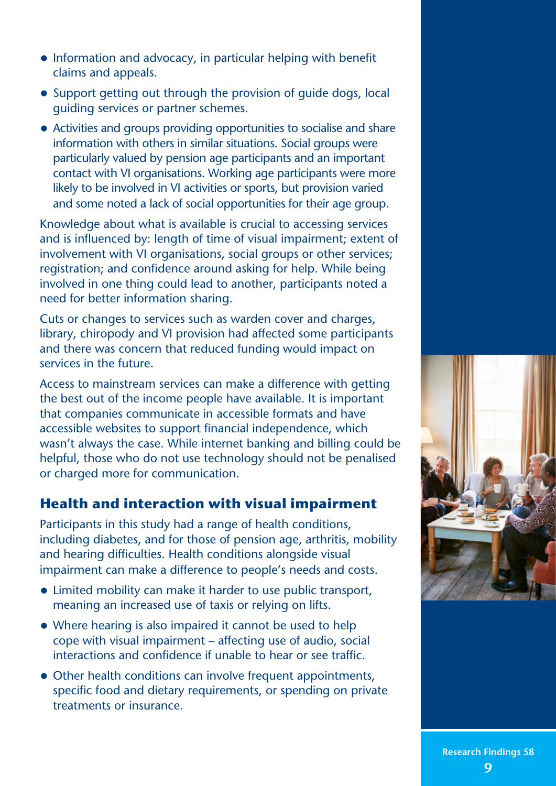- **•** Information and advocacy, in particular helping with benefit claims and appeals.
- **•** Support getting out through the provision of guide dogs, local guiding services or partner schemes.
- **•** Activities and groups providing opportunities to socialise and share information with others in similar situations. Social groups were particularly valued by pension age participants and an important contact with VI organisations. Working age participants were more likely to be involved in VI activities or sports, but provision varied and some noted a lack of social opportunities for their age group.

Knowledge about what is available is crucial to accessing services and is influenced by: length of time of visual impairment; extent of involvement with VI organisations, social groups or other services; registration; and confidence around asking for help. While being involved in one thing could lead to another, participants noted a need for better information sharing.

Cuts or changes to services such as warden cover and charges, library, chiropody and VI provision had affected some participants and there was concern that reduced funding would impact on services in the future.

Access to mainstream services can make a difference with getting the best out of the income people have available. It is important that companies communicate in accessible formats and have accessible websites to support financial independence, which wasn't always the case. While internet banking and billing could be helpful, those who do not use technology should not be penalised or charged more for communication.

## **Health and interaction with visual impairment**

Participants in this study had a range of health conditions, including diabetes, and for those of pension age, arthritis, mobility and hearing difficulties. Health conditions alongside visual impairment can make a difference to people's needs and costs.

- **•** Limited mobility can make it harder to use public transport, meaning an increased use of taxis or relying on lifts.
- **•** Where hearing is also impaired it cannot be used to help cope with visual impairment – affecting use of audio, social interactions and confidence if unable to hear or see traffic.
- Other health conditions can involve frequent appointments, specific food and dietary requirements, or spending on private treatments or insurance.

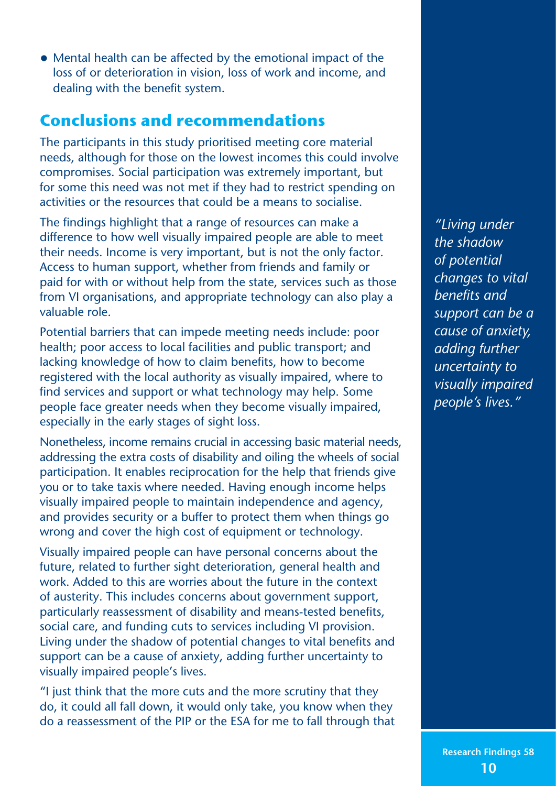**•** Mental health can be affected by the emotional impact of the loss of or deterioration in vision, loss of work and income, and dealing with the benefit system.

# **Conclusions and recommendations**

The participants in this study prioritised meeting core material needs, although for those on the lowest incomes this could involve compromises. Social participation was extremely important, but for some this need was not met if they had to restrict spending on activities or the resources that could be a means to socialise.

The findings highlight that a range of resources can make a difference to how well visually impaired people are able to meet their needs. Income is very important, but is not the only factor. Access to human support, whether from friends and family or paid for with or without help from the state, services such as those from VI organisations, and appropriate technology can also play a valuable role.

Potential barriers that can impede meeting needs include: poor health; poor access to local facilities and public transport; and lacking knowledge of how to claim benefits, how to become registered with the local authority as visually impaired, where to find services and support or what technology may help. Some people face greater needs when they become visually impaired, especially in the early stages of sight loss.

Nonetheless, income remains crucial in accessing basic material needs, addressing the extra costs of disability and oiling the wheels of social participation. It enables reciprocation for the help that friends give you or to take taxis where needed. Having enough income helps visually impaired people to maintain independence and agency, and provides security or a buffer to protect them when things go wrong and cover the high cost of equipment or technology.

Visually impaired people can have personal concerns about the future, related to further sight deterioration, general health and work. Added to this are worries about the future in the context of austerity. This includes concerns about government support, particularly reassessment of disability and means-tested benefits, social care, and funding cuts to services including VI provision. Living under the shadow of potential changes to vital benefits and support can be a cause of anxiety, adding further uncertainty to visually impaired people's lives.

"I just think that the more cuts and the more scrutiny that they do, it could all fall down, it would only take, you know when they do a reassessment of the PIP or the ESA for me to fall through that

*"Living under the shadow of potential changes to vital benefits and support can be a cause of anxiety, adding further uncertainty to visually impaired people's lives."*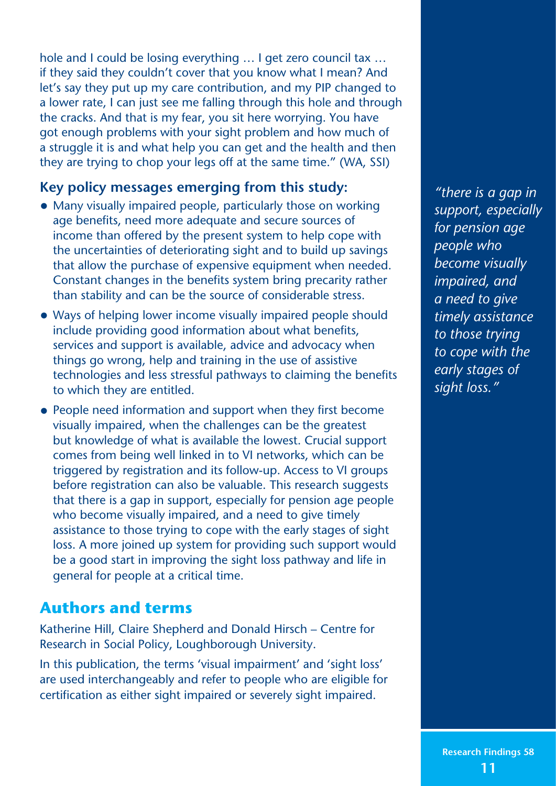hole and I could be losing everything … I get zero council tax … if they said they couldn't cover that you know what I mean? And let's say they put up my care contribution, and my PIP changed to a lower rate, I can just see me falling through this hole and through the cracks. And that is my fear, you sit here worrying. You have got enough problems with your sight problem and how much of a struggle it is and what help you can get and the health and then they are trying to chop your legs off at the same time." (WA, SSI)

#### **Key policy messages emerging from this study:**

- **•** Many visually impaired people, particularly those on working age benefits, need more adequate and secure sources of income than offered by the present system to help cope with the uncertainties of deteriorating sight and to build up savings that allow the purchase of expensive equipment when needed. Constant changes in the benefits system bring precarity rather than stability and can be the source of considerable stress.
- **•** Ways of helping lower income visually impaired people should include providing good information about what benefits, services and support is available, advice and advocacy when things go wrong, help and training in the use of assistive technologies and less stressful pathways to claiming the benefits to which they are entitled.
- **•** People need information and support when they first become visually impaired, when the challenges can be the greatest but knowledge of what is available the lowest. Crucial support comes from being well linked in to VI networks, which can be triggered by registration and its follow‑up. Access to VI groups before registration can also be valuable. This research suggests that there is a gap in support, especially for pension age people who become visually impaired, and a need to give timely assistance to those trying to cope with the early stages of sight loss. A more joined up system for providing such support would be a good start in improving the sight loss pathway and life in general for people at a critical time.

# **Authors and terms**

Katherine Hill, Claire Shepherd and Donald Hirsch – Centre for Research in Social Policy, Loughborough University.

In this publication, the terms 'visual impairment' and 'sight loss' are used interchangeably and refer to people who are eligible for certification as either sight impaired or severely sight impaired.

*"there is a gap in support, especially for pension age people who become visually impaired, and a need to give timely assistance to those trying to cope with the early stages of sight loss."*